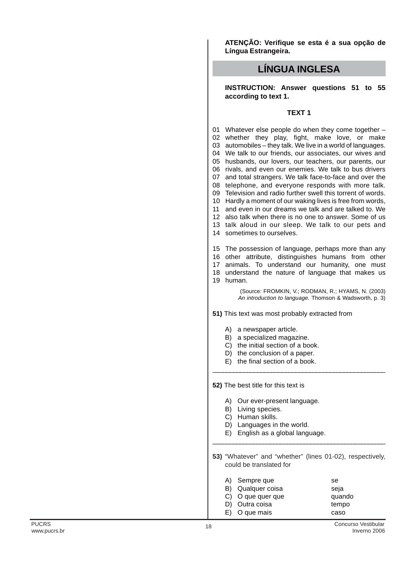**ATENÇÃO: Verifique se esta é a sua opção de Língua Estrangeira.**

## **LÍNGUA INGLESA**

**INSTRUCTION: Answer questions 51 to 55 according to text 1.**

## **TEXT 1**

 Whatever else people do when they come together – whether they play, fight, make love, or make automobiles – they talk. We live in a world of languages. We talk to our friends, our associates, our wives and husbands, our lovers, our teachers, our parents, our rivals, and even our enemies. We talk to bus drivers and total strangers. We talk face-to-face and over the telephone, and everyone responds with more talk. Television and radio further swell this torrent of words. Hardly a moment of our waking lives is free from words, and even in our dreams we talk and are talked to. We also talk when there is no one to answer. Some of us talk aloud in our sleep. We talk to our pets and sometimes to ourselves.

15 The possession of language, perhaps more than any

16 other attribute, distinguishes humans from other

17 animals. To understand our humanity, one must

18 understand the nature of language that makes us 19 human.

> (Source: FROMKIN, V.; RODMAN, R.; HYAMS, N. (2003) An introduction to language. Thomson & Wadsworth, p. 3)

**51)** This text was most probably extracted from

- A) a newspaper article.
- B) a specialized magazine.
- C) the initial section of a book.
- D) the conclusion of a paper.
- E) the final section of a book.

**52)** The best title for this text is

- A) Our ever-present language.
- B) Living species.
- C) Human skills.
- D) Languages in the world.
- E) English as a global language.

**53)** "Whatever" and "whether" (lines 01-02), respectively, could be translated for

\_\_\_\_\_\_\_\_\_\_\_\_\_\_\_\_\_\_\_\_\_\_\_\_\_\_\_\_\_\_\_\_\_\_\_\_\_\_\_\_\_\_\_\_\_\_\_\_\_\_\_

\_\_\_\_\_\_\_\_\_\_\_\_\_\_\_\_\_\_\_\_\_\_\_\_\_\_\_\_\_\_\_\_\_\_\_\_\_\_\_\_\_\_\_\_\_\_\_\_\_\_

- A) Sempre que se
- B) Qualquer coisa seja C) O que quer que quando
- D) Outra coisa tempo E) O que mais caso